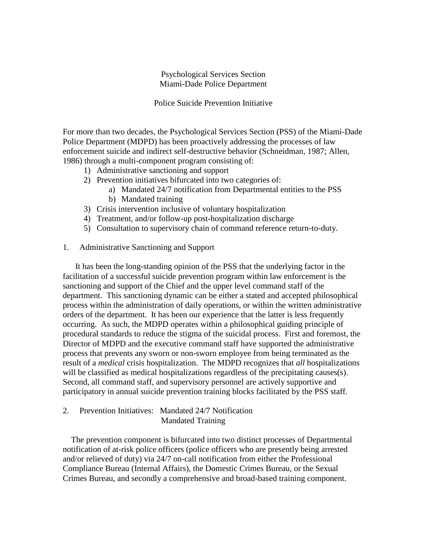# Psychological Services Section Miami-Dade Police Department

## Police Suicide Prevention Initiative

For more than two decades, the Psychological Services Section (PSS) of the Miami-Dade Police Department (MDPD) has been proactively addressing the processes of law enforcement suicide and indirect self-destructive behavior (Schneidman, 1987; Allen, 1986) through a multi-component program consisting of:

- 1) Administrative sanctioning and support
- 2) Prevention initiatives bifurcated into two categories of:
	- a) Mandated 24/7 notification from Departmental entities to the PSS
	- b) Mandated training
- 3) Crisis intervention inclusive of voluntary hospitalization
- 4) Treatment, and/or follow-up post-hospitalization discharge
- 5) Consultation to supervisory chain of command reference return-to-duty.
- 1. Administrative Sanctioning and Support

It has been the long-standing opinion of the PSS that the underlying factor in the facilitation of a successful suicide prevention program within law enforcement is the sanctioning and support of the Chief and the upper level command staff of the department. This sanctioning dynamic can be either a stated and accepted philosophical process within the administration of daily operations, or within the written administrative orders of the department. It has been our experience that the latter is less frequently occurring. As such, the MDPD operates within a philosophical guiding principle of procedural standards to reduce the stigma of the suicidal process. First and foremost, the Director of MDPD and the executive command staff have supported the administrative process that prevents any sworn or non-sworn employee from being terminated as the result of a *medical* crisis hospitalization. The MDPD recognizes that *all* hospitalizations will be classified as medical hospitalizations regardless of the precipitating causes(s). Second, all command staff, and supervisory personnel are actively supportive and participatory in annual suicide prevention training blocks facilitated by the PSS staff.

2. Prevention Initiatives: Mandated 24/7 Notification Mandated Training

 The prevention component is bifurcated into two distinct processes of Departmental notification of at-risk police officers (police officers who are presently being arrested and/or relieved of duty) via 24/7 on-call notification from either the Professional Compliance Bureau (Internal Affairs), the Domestic Crimes Bureau, or the Sexual Crimes Bureau, and secondly a comprehensive and broad-based training component.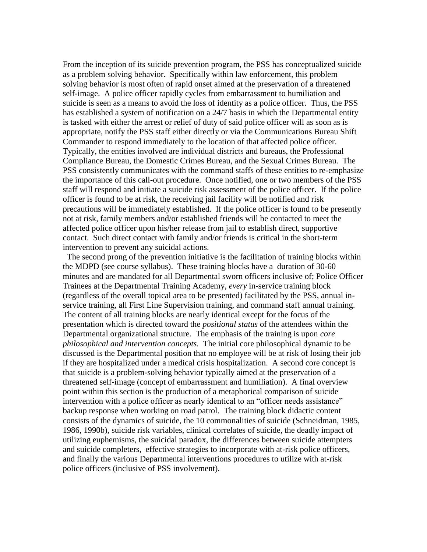From the inception of its suicide prevention program, the PSS has conceptualized suicide as a problem solving behavior. Specifically within law enforcement, this problem solving behavior is most often of rapid onset aimed at the preservation of a threatened self-image. A police officer rapidly cycles from embarrassment to humiliation and suicide is seen as a means to avoid the loss of identity as a police officer. Thus, the PSS has established a system of notification on a 24/7 basis in which the Departmental entity is tasked with either the arrest or relief of duty of said police officer will as soon as is appropriate, notify the PSS staff either directly or via the Communications Bureau Shift Commander to respond immediately to the location of that affected police officer. Typically, the entities involved are individual districts and bureaus, the Professional Compliance Bureau, the Domestic Crimes Bureau, and the Sexual Crimes Bureau. The PSS consistently communicates with the command staffs of these entities to re-emphasize the importance of this call-out procedure. Once notified, one or two members of the PSS staff will respond and initiate a suicide risk assessment of the police officer. If the police officer is found to be at risk, the receiving jail facility will be notified and risk precautions will be immediately established. If the police officer is found to be presently not at risk, family members and/or established friends will be contacted to meet the affected police officer upon his/her release from jail to establish direct, supportive contact. Such direct contact with family and/or friends is critical in the short-term intervention to prevent any suicidal actions.

 The second prong of the prevention initiative is the facilitation of training blocks within the MDPD (see course syllabus). These training blocks have a duration of 30-60 minutes and are mandated for all Departmental sworn officers inclusive of; Police Officer Trainees at the Departmental Training Academy, *every* in-service training block (regardless of the overall topical area to be presented) facilitated by the PSS, annual inservice training, all First Line Supervision training, and command staff annual training. The content of all training blocks are nearly identical except for the focus of the presentation which is directed toward the *positional status* of the attendees within the Departmental organizational structure. The emphasis of the training is upon *core philosophical and intervention concepts.* The initial core philosophical dynamic to be discussed is the Departmental position that no employee will be at risk of losing their job if they are hospitalized under a medical crisis hospitalization. A second core concept is that suicide is a problem-solving behavior typically aimed at the preservation of a threatened self-image (concept of embarrassment and humiliation). A final overview point within this section is the production of a metaphorical comparison of suicide intervention with a police officer as nearly identical to an "officer needs assistance" backup response when working on road patrol. The training block didactic content consists of the dynamics of suicide, the 10 commonalities of suicide (Schneidman, 1985, 1986, 1990b), suicide risk variables, clinical correlates of suicide, the deadly impact of utilizing euphemisms, the suicidal paradox, the differences between suicide attempters and suicide completers, effective strategies to incorporate with at-risk police officers, and finally the various Departmental interventions procedures to utilize with at-risk police officers (inclusive of PSS involvement).